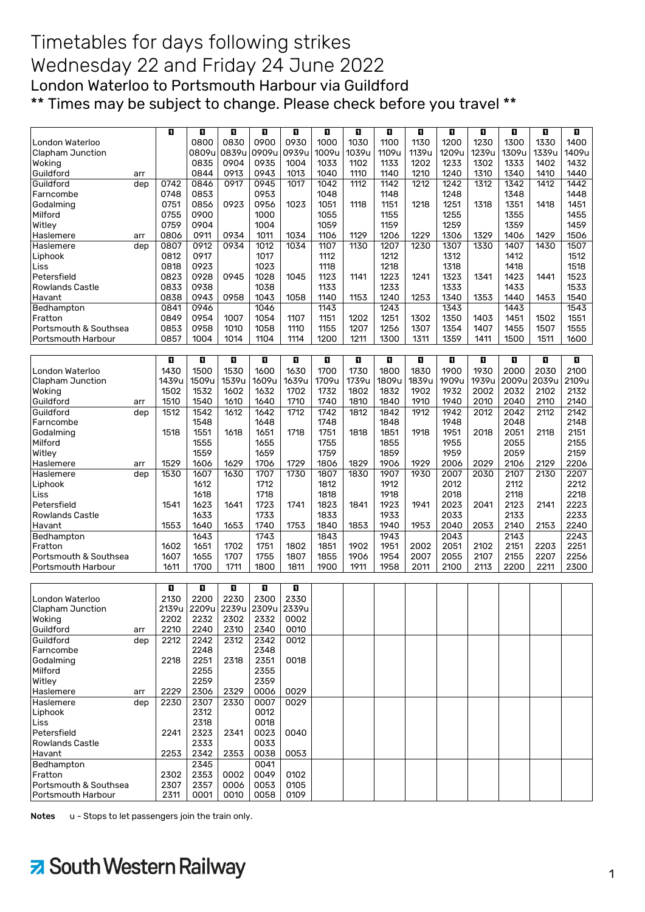## Timetables for days following strikes Wednesday 22 and Friday 24 June 2022 London Waterloo to Portsmouth Harbour via Guildford \*\* Times may be subject to change. Please check before you travel \*\*

|                        | O     | O                                     | O     | ū     | O     | ū     | Ð              | o     | o     | O     | O     | П     | п     | п     |
|------------------------|-------|---------------------------------------|-------|-------|-------|-------|----------------|-------|-------|-------|-------|-------|-------|-------|
| London Waterloo        |       | 0800                                  | 0830  | 0900  | 0930  | 1000  | 1030           | 1100  | 1130  | 1200  | 1230  | 1300  | 1330  | 1400  |
| Clapham Junction       |       | 0809u                                 | 0839u | 0909u | 0939u | 1009u | 1039u          | 1109u | 1139u | 1209u | 1239u | 1309u | 1339u | 1409u |
| Wokina                 |       | 0835                                  | 0904  | 0935  | 1004  | 1033  | 1102           | 1133  | 1202  | 1233  | 1302  | 1333  | 1402  | 1432  |
| Guildford<br>arr       |       | 0844                                  | 0913  | 0943  | 1013  | 1040  | 1110           | 1140  | 1210  | 1240  | 1310  | 1340  | 1410  | 1440  |
| Guildford<br>dep       | 0742  | 0846                                  | 0917  | 0945  | 1017  | 1042  | 1112           | 1142  | 1212  | 1242  | 1312  | 1342  | 1412  | 1442  |
| Farncombe              | 0748  | 0853                                  |       | 0953  |       | 1048  |                | 1148  |       | 1248  |       | 1348  |       | 1448  |
| Godalming              | 0751  | 0856                                  | 0923  | 0956  | 1023  | 1051  | 1118           | 1151  | 1218  | 1251  | 1318  | 1351  | 1418  | 1451  |
| Milford                | 0755  | 0900                                  |       | 1000  |       | 1055  |                | 1155  |       | 1255  |       | 1355  |       | 1455  |
| Witley                 | 0759  | 0904                                  |       | 1004  |       | 1059  |                | 1159  |       | 1259  |       | 1359  |       | 1459  |
| Haslemere<br>arr       | 0806  | 0911                                  | 0934  | 1011  | 1034  | 1106  | 1129           | 1206  | 1229  | 1306  | 1329  | 1406  | 1429  | 1506  |
| Haslemere<br>dep       | 0807  | 0912                                  | 0934  | 1012  | 1034  | 1107  | 1130           | 1207  | 1230  | 1307  | 1330  | 1407  | 1430  | 1507  |
| Liphook                | 0812  | 0917                                  |       | 1017  |       | 1112  |                | 1212  |       | 1312  |       | 1412  |       | 1512  |
| Liss                   | 0818  | 0923                                  |       | 1023  |       | 1118  |                | 1218  |       | 1318  |       | 1418  |       | 1518  |
| Petersfield            | 0823  | 0928                                  | 0945  | 1028  | 1045  | 1123  | 1141           | 1223  | 1241  | 1323  | 1341  | 1423  | 1441  | 1523  |
| <b>Rowlands Castle</b> | 0833  | 0938                                  |       | 1038  |       | 1133  |                | 1233  |       | 1333  |       | 1433  |       | 1533  |
| Havant                 | 0838  | 0943                                  | 0958  | 1043  | 1058  | 1140  | 1153           | 1240  | 1253  | 1340  | 1353  | 1440  | 1453  | 1540  |
| Bedhampton             | 0841  | 0946                                  |       | 1046  |       | 1143  |                | 1243  |       | 1343  |       | 1443  |       | 1543  |
|                        | 0849  | 0954                                  | 1007  | 1054  |       | 1151  |                | 1251  |       | 1350  | 1403  | 1451  |       | 1551  |
| Fratton                |       |                                       |       |       | 1107  |       | 1202           |       | 1302  |       |       |       | 1502  |       |
| Portsmouth & Southsea  | 0853  | 0958                                  | 1010  | 1058  | 1110  | 1155  | 1207           | 1256  | 1307  | 1354  | 1407  | 1455  | 1507  | 1555  |
| Portsmouth Harbour     | 0857  | 1004                                  | 1014  | 1104  | 1114  | 1200  | 1211           | 1300  | 1311  | 1359  | 1411  | 1500  | 1511  | 1600  |
|                        |       |                                       |       |       |       |       |                |       |       |       |       |       |       |       |
|                        | П     | n                                     | П     | O     | п     | П     | $\blacksquare$ | П     | n     | D.    | П     | П     | IJ    | П     |
| London Waterloo        | 1430  | 1500                                  | 1530  | 1600  | 1630  | 1700  | 1730           | 1800  | 1830  | 1900  | 1930  | 2000  | 2030  | 2100  |
| Clapham Junction       | 1439u | 1509u                                 | 1539u | 1609u | 1639u | 1709u | 1739u          | 1809u | 1839u | 1909u | 1939u | 2009u | 2039u | 2109u |
| Woking                 | 1502  | 1532                                  | 1602  | 1632  | 1702  | 1732  | 1802           | 1832  | 1902  | 1932  | 2002  | 2032  | 2102  | 2132  |
| Guildford<br>arr       | 1510  | 1540                                  | 1610  | 1640  | 1710  | 1740  | 1810           | 1840  | 1910  | 1940  | 2010  | 2040  | 2110  | 2140  |
| Guildford<br>dep       | 1512  | 1542                                  | 1612  | 1642  | 1712  | 1742  | 1812           | 1842  | 1912  | 1942  | 2012  | 2042  | 2112  | 2142  |
| Farncombe              |       | 1548                                  |       | 1648  |       | 1748  |                | 1848  |       | 1948  |       | 2048  |       | 2148  |
| Godalming              | 1518  | 1551                                  | 1618  | 1651  | 1718  | 1751  | 1818           | 1851  | 1918  | 1951  | 2018  | 2051  | 2118  | 2151  |
| Milford                |       | 1555                                  |       | 1655  |       | 1755  |                | 1855  |       | 1955  |       | 2055  |       | 2155  |
| Witley                 |       | 1559                                  |       | 1659  |       | 1759  |                | 1859  |       | 1959  |       | 2059  |       | 2159  |
| Haslemere<br>arr       | 1529  | 1606                                  | 1629  | 1706  | 1729  | 1806  | 1829           | 1906  | 1929  | 2006  | 2029  | 2106  | 2129  | 2206  |
| Haslemere<br>dep       | 1530  | 1607                                  | 1630  | 1707  | 1730  | 1807  | 1830           | 1907  | 1930  | 2007  | 2030  | 2107  | 2130  | 2207  |
| Liphook                |       | 1612                                  |       | 1712  |       | 1812  |                | 1912  |       | 2012  |       | 2112  |       | 2212  |
| Liss                   |       | 1618                                  |       | 1718  |       | 1818  |                | 1918  |       | 2018  |       | 2118  |       | 2218  |
| Petersfield            | 1541  | 1623                                  | 1641  | 1723  | 1741  | 1823  | 1841           | 1923  | 1941  | 2023  | 2041  | 2123  | 2141  | 2223  |
| <b>Rowlands Castle</b> |       | 1633                                  |       | 1733  |       | 1833  |                | 1933  |       | 2033  |       | 2133  |       | 2233  |
| Havant                 | 1553  | 1640                                  | 1653  | 1740  | 1753  | 1840  | 1853           | 1940  | 1953  | 2040  | 2053  | 2140  | 2153  | 2240  |
| Bedhampton             |       | 1643                                  |       | 1743  |       | 1843  |                | 1943  |       | 2043  |       | 2143  |       | 2243  |
| Fratton                | 1602  | 1651                                  | 1702  | 1751  | 1802  | 1851  | 1902           | 1951  | 2002  | 2051  | 2102  | 2151  | 2203  | 2251  |
| Portsmouth & Southsea  | 1607  | 1655                                  | 1707  | 1755  | 1807  | 1855  | 1906           | 1954  | 2007  | 2055  | 2107  | 2155  | 2207  | 2256  |
| Portsmouth Harbour     | 1611  | 1700                                  | 1711  | 1800  | 1811  | 1900  | 1911           | 1958  | 2011  | 2100  | 2113  | 2200  | 2211  | 2300  |
|                        |       |                                       |       |       |       |       |                |       |       |       |       |       |       |       |
|                        | O     | n                                     | D.    | O     | П     |       |                |       |       |       |       |       |       |       |
| London Waterloo        | 2130  | 2200                                  | 2230  | 2300  | 2330  |       |                |       |       |       |       |       |       |       |
| Clapham Junction       |       | 2139u   2209u   2239u   2309u   2339u |       |       |       |       |                |       |       |       |       |       |       |       |
| Woking                 | 2202  | 2232                                  | 2302  | 2332  | 0002  |       |                |       |       |       |       |       |       |       |
| Guildford<br>arr       | 2210  | 2240                                  | 2310  | 2340  | 0010  |       |                |       |       |       |       |       |       |       |
| Guildford<br>dep       | 2212  | 2242                                  | 2312  | 2342  | 0012  |       |                |       |       |       |       |       |       |       |
| Farncombe              |       | 2248                                  |       | 2348  |       |       |                |       |       |       |       |       |       |       |
| Godalming              | 2218  | 2251                                  | 2318  | 2351  | 0018  |       |                |       |       |       |       |       |       |       |
| Milford                |       | 2255                                  |       | 2355  |       |       |                |       |       |       |       |       |       |       |
| Witley                 |       | 2259                                  |       | 2359  |       |       |                |       |       |       |       |       |       |       |
| Haslemere              | 2229  | 2306                                  | 2329  | 0006  | 0029  |       |                |       |       |       |       |       |       |       |
| arr<br>Haslemere       | 2230  | 2307                                  | 2330  | 0007  | 0029  |       |                |       |       |       |       |       |       |       |
| dep                    |       |                                       |       |       |       |       |                |       |       |       |       |       |       |       |
| Liphook                |       | 2312                                  |       | 0012  |       |       |                |       |       |       |       |       |       |       |
| <b>Liss</b>            |       | 2318                                  |       | 0018  |       |       |                |       |       |       |       |       |       |       |
| Petersfield            | 2241  | 2323                                  | 2341  | 0023  | 0040  |       |                |       |       |       |       |       |       |       |
| <b>Rowlands Castle</b> |       | 2333                                  |       | 0033  |       |       |                |       |       |       |       |       |       |       |
| Havant                 | 2253  | 2342                                  | 2353  | 0038  | 0053  |       |                |       |       |       |       |       |       |       |
| Bedhampton             |       | 2345                                  |       | 0041  |       |       |                |       |       |       |       |       |       |       |
| Fratton                | 2302  | 2353                                  | 0002  | 0049  | 0102  |       |                |       |       |       |       |       |       |       |
| Portsmouth & Southsea  | 2307  | 2357                                  | 0006  | 0053  | 0105  |       |                |       |       |       |       |       |       |       |
| Portsmouth Harbour     | 2311  | 0001                                  | 0010  | 0058  | 0109  |       |                |       |       |       |       |       |       |       |

Notes u - Stops to let passengers join the train only.

## > South Western Railway